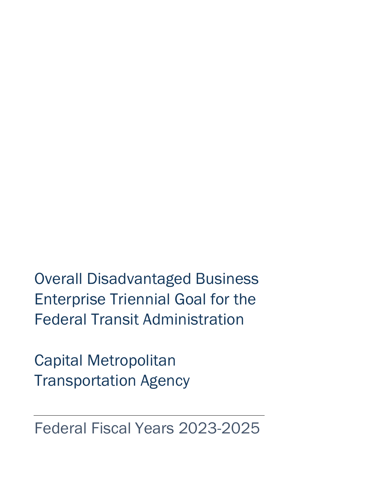Overall Disadvantaged Business Enterprise Triennial Goal for the Federal Transit Administration

Capital Metropolitan Transportation Agency

Federal Fiscal Years 2023-2025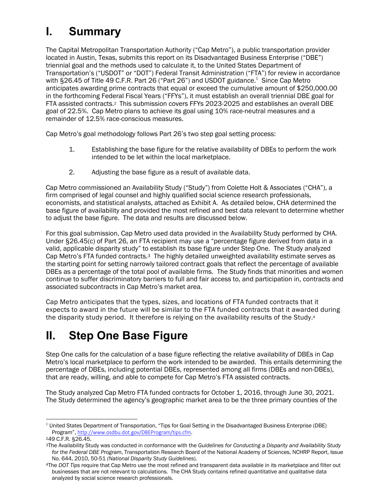# **I. Summary**

The Capital Metropolitan Transportation Authority ("Cap Metro"), a public transportation provider located in Austin, Texas, submits this report on its Disadvantaged Business Enterprise ("DBE") triennial goal and the methods used to calculate it, to the United States Department of Transportation's ("USDOT" or "DOT") Federal Transit Administration ("FTA") for review in accordance with §26.45 of Title 49 C.F.R. Part 26 ("Part 26") and USDOT guidance.<sup>1</sup> Since Cap Metro anticipates awarding prime contracts that equal or exceed the cumulative amount of \$250,000.00 in the forthcoming Federal Fiscal Years ("FFYs"), it must establish an overall triennial DBE goal for FTA assisted contracts.2 This submission covers FFYs 2023-2025 and establishes an overall DBE goal of 22.5%. Cap Metro plans to achieve its goal using 10% race-neutral measures and a remainder of 12.5% race-conscious measures.

Cap Metro's goal methodology follows Part 26's two step goal setting process:

- 1. Establishing the base figure for the relative availability of DBEs to perform the work intended to be let within the local marketplace.
- 2. Adjusting the base figure as a result of available data.

Cap Metro commissioned an Availability Study ("Study") from Colette Holt & Associates ("CHA"), a firm comprised of legal counsel and highly qualified social science research professionals, economists, and statistical analysts, attached as Exhibit A. As detailed below, CHA determined the base figure of availability and provided the most refined and best data relevant to determine whether to adjust the base figure. The data and results are discussed below.

For this goal submission, Cap Metro used data provided in the Availability Study performed by CHA. Under §26.45(c) of Part 26, an FTA recipient may use a "percentage figure derived from data in a valid, applicable disparity study" to establish its base figure under Step One. The Study analyzed Cap Metro's FTA funded contracts.3 The highly detailed unweighted availability estimate serves as the starting point for setting narrowly tailored contract goals that reflect the percentage of available DBEs as a percentage of the total pool of available firms. The Study finds that minorities and women continue to suffer discriminatory barriers to full and fair access to, and participation in, contracts and associated subcontracts in Cap Metro's market area.

Cap Metro anticipates that the types, sizes, and locations of FTA funded contracts that it expects to award in the future will be similar to the FTA funded contracts that it awarded during the disparity study period. It therefore is relying on the availability results of the Study.4

## **II. Step One Base Figure**

Step One calls for the calculation of a base figure reflecting the relative availability of DBEs in Cap Metro's local marketplace to perform the work intended to be awarded. This entails determining the percentage of DBEs, including potential DBEs, represented among all firms (DBEs and non-DBEs), that are ready, willing, and able to compete for Cap Metro's FTA assisted contracts.

The Study analyzed Cap Metro FTA funded contracts for October 1, 2016, through June 30, 2021. The Study determined the agency's geographic market area to be the three primary counties of the

<sup>&</sup>lt;sup>1</sup> United States Department of Transportation, "Tips for Goal Setting in the Disadvantaged Business Enterprise (DBE) Program", http://www.osdbu.dot.gov/DBEProgram/tips.cfm.

<sup>249</sup> C.F.R. §26.45.

<sup>3</sup>The Availability Study was conducted in conformance with the *Guidelines for Conducting a Disparity and Availability Study for the Federal DBE Program*, Transportation Research Board of the National Academy of Sciences, NCHRP Report, Issue No. 644, 2010, 50-51 *(National Disparity Study Guidelines*).

<sup>4</sup>The *DOT Tips* require that Cap Metro use the most refined and transparent data available in its marketplace and filter out businesses that are not relevant to calculations. The CHA Study contains refined quantitative and qualitative data analyzed by social science research professionals.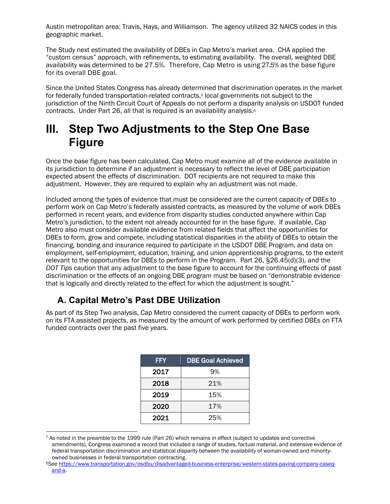Austin metropolitan area: Travis, Hays, and Williamson. The agency utilized 32 NAICS codes in this geographic market.

The Study next estimated the availability of DBEs in Cap Metro's market area. CHA applied the "custom census" approach, with refinements, to estimating availability. The overall, weighted DBE availability was determined to be 27.5%. Therefore, Cap Metro is using 27.5% as the base figure for its overall DBE goal.

Since the United States Congress has already determined that discrimination operates in the market for federally funded transportation-related contracts,5 local governments not subject to the jurisdiction of the Ninth Circuit Court of Appeals do not perform a disparity analysis on USDOT funded contracts. Under Part 26, all that is required is an availability analysis.6

## **III. Step Two Adjustments to the Step One Base Figure**

Once the base figure has been calculated, Cap Metro must examine all of the evidence available in its jurisdiction to determine if an adjustment is necessary to reflect the level of DBE participation expected absent the effects of discrimination. DOT recipients are not required to make this adjustment. However, they are required to explain why an adjustment was not made.

Included among the types of evidence that must be considered are the current capacity of DBEs to perform work on Cap Metro's federally assisted contracts, as measured by the volume of work DBEs performed in recent years, and evidence from disparity studies conducted anywhere within Cap Metro's jurisdiction, to the extent not already accounted for in the base figure. If available, Cap Metro also must consider available evidence from related fields that affect the opportunities for DBEs to form, grow and compete, including statistical disparities in the ability of DBEs to obtain the financing, bonding and insurance required to participate in the USDOT DBE Program, and data on employment, self-employment, education, training, and union apprenticeship programs, to the extent relevant to the opportunities for DBEs to perform in the Program. Part 26, §26.45(d)(3), and the *DOT Tips* caution that any adjustment to the base figure to account for the continuing effects of past discrimination or the effects of an ongoing DBE program must be based on "demonstrable evidence that is logically and directly related to the effect for which the adjustment is sought."

### **A. Capital Metro's Past DBE Utilization**

As part of its Step Two analysis, Cap Metro considered the current capacity of DBEs to perform work on its FTA assisted projects, as measured by the amount of work performed by certified DBEs on FTA funded contracts over the past five years.

| <b>FFY</b> | <b>DBE Goal Achieved</b> |  |
|------------|--------------------------|--|
| 2017       | 9%                       |  |
| 2018       | 21%                      |  |
| 2019       | 15%                      |  |
| 2020       | 17%                      |  |
| 2021       | 25%                      |  |

<sup>5</sup> As noted in the preamble to the 1999 rule (Part 26) which remains in effect (subject to updates and corrective amendments), Congress examined a record that included a range of studies, factual material, and extensive evidence of federal transportation discrimination and statistical disparity between the availability of woman-owned and minorityowned businesses in federal transportation contracting.

<sup>6</sup>*See* https://www.transportation.gov/osdbu/disadvantaged-business-enterprise/western-states-paving-company-caseqand-a.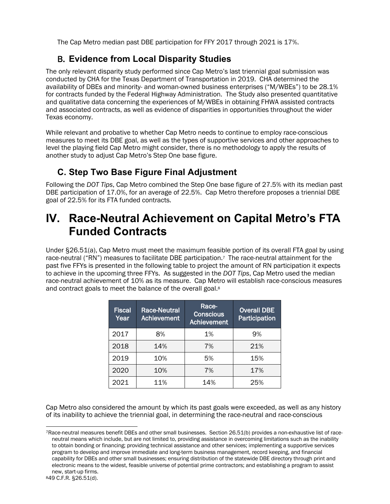The Cap Metro median past DBE participation for FFY 2017 through 2021 is 17%.

#### B. **Evidence from Local Disparity Studies**

The only relevant disparity study performed since Cap Metro's last triennial goal submission was conducted by CHA for the Texas Department of Transportation in 2019. CHA determined the availability of DBEs and minority- and woman-owned business enterprises ("M/WBEs") to be 28.1% for contracts funded by the Federal Highway Administration. The Study also presented quantitative and qualitative data concerning the experiences of M/WBEs in obtaining FHWA assisted contracts and associated contracts, as well as evidence of disparities in opportunities throughout the wider Texas economy.

While relevant and probative to whether Cap Metro needs to continue to employ race-conscious measures to meet its DBE goal, as well as the types of supportive services and other approaches to level the playing field Cap Metro might consider, there is no methodology to apply the results of another study to adjust Cap Metro's Step One base figure.

#### **C. Step Two Base Figure Final Adjustment**

Following the *DOT Tips*, Cap Metro combined the Step One base figure of 27.5% with its median past DBE participation of 17.0%, for an average of 22.5%. Cap Metro therefore proposes a triennial DBE goal of 22.5% for its FTA funded contracts.

## **IV. Race-Neutral Achievement on Capital Metro's FTA Funded Contracts**

Under §26.51(a), Cap Metro must meet the maximum feasible portion of its overall FTA goal by using race-neutral ("RN") measures to facilitate DBE participation.7 The race-neutral attainment for the past five FFYs is presented in the following table to project the amount of RN participation it expects to achieve in the upcoming three FFYs. As suggested in the *DOT Tips*, Cap Metro used the median race-neutral achievement of 10% as its measure. Cap Metro will establish race-conscious measures and contract goals to meet the balance of the overall goal.8

| <b>Fiscal</b><br>Year | <b>Race-Neutral</b><br><b>Achievement</b> | Race-<br><b>Conscious</b><br><b>Achievement</b> | <b>Overall DBE</b><br>Participation |
|-----------------------|-------------------------------------------|-------------------------------------------------|-------------------------------------|
| 2017                  | 8%                                        | 1%                                              | 9%                                  |
| 2018                  | 14%                                       | 7%                                              | 21%                                 |
| 2019                  | 10%                                       | 5%                                              | 15%                                 |
| 2020                  | 10%                                       | 7%                                              | 17%                                 |
| 2021                  | 11%                                       | 14%                                             | 25%                                 |

Cap Metro also considered the amount by which its past goals were exceeded, as well as any history of its inability to achieve the triennial goal, in determining the race-neutral and race-conscious

<sup>7</sup>Race-neutral measures benefit DBEs and other small businesses. Section 26.51(b) provides a non-exhaustive list of raceneutral means which include, but are not limited to, providing assistance in overcoming limitations such as the inability to obtain bonding or financing; providing technical assistance and other services; implementing a supportive services program to develop and improve immediate and long-term business management, record keeping, and financial capability for DBEs and other small businesses; ensuring distribution of the statewide DBE directory through print and electronic means to the widest, feasible universe of potential prime contractors; and establishing a program to assist new, start-up firms.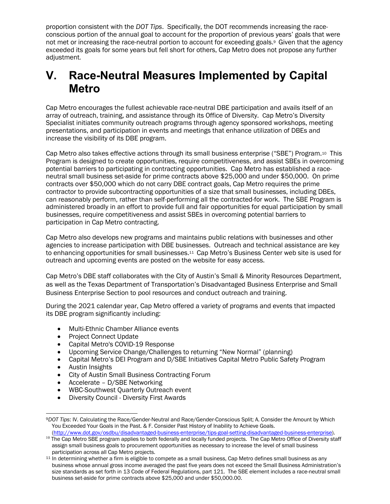proportion consistent with the *DOT Tips*. Specifically, the DOT recommends increasing the raceconscious portion of the annual goal to account for the proportion of previous years' goals that were not met or increasing the race-neutral portion to account for exceeding goals.<sup>9</sup> Given that the agency exceeded its goals for some years but fell short for others, Cap Metro does not propose any further adjustment.

## **V. Race-Neutral Measures Implemented by Capital Metro**

Cap Metro encourages the fullest achievable race-neutral DBE participation and avails itself of an array of outreach, training, and assistance through its Office of Diversity. Cap Metro's Diversity Specialist initiates community outreach programs through agency sponsored workshops, meeting presentations, and participation in events and meetings that enhance utilization of DBEs and increase the visibility of its DBE program.

Cap Metro also takes effective actions through its small business enterprise ("SBE") Program.10 This Program is designed to create opportunities, require competitiveness, and assist SBEs in overcoming potential barriers to participating in contracting opportunities. Cap Metro has established a raceneutral small business set-aside for prime contracts above \$25,000 and under \$50,000. On prime contracts over \$50,000 which do not carry DBE contract goals, Cap Metro requires the prime contractor to provide subcontracting opportunities of a size that small businesses, including DBEs, can reasonably perform, rather than self-performing all the contracted-for work. The SBE Program is administered broadly in an effort to provide full and fair opportunities for equal participation by small businesses, require competitiveness and assist SBEs in overcoming potential barriers to participation in Cap Metro contracting.

Cap Metro also develops new programs and maintains public relations with businesses and other agencies to increase participation with DBE businesses. Outreach and technical assistance are key to enhancing opportunities for small businesses.11 Cap Metro's Business Center web site is used for outreach and upcoming events are posted on the website for easy access.

Cap Metro's DBE staff collaborates with the City of Austin's Small & Minority Resources Department, as well as the Texas Department of Transportation's Disadvantaged Business Enterprise and Small Business Enterprise Section to pool resources and conduct outreach and training.

During the 2021 calendar year, Cap Metro offered a variety of programs and events that impacted its DBE program significantly including:

- Multi-Ethnic Chamber Alliance events
- Project Connect Update
- Capital Metro's COVID-19 Response
- Upcoming Service Change/Challenges to returning "New Normal" (planning)
- Capital Metro's DEI Program and D/SBE Initiatives Capital Metro Public Safety Program
- Austin Insights
- City of Austin Small Business Contracting Forum
- Accelerate D/SBE Networking
- WBC-Southwest Quarterly Outreach event
- Diversity Council Diversity First Awards

<sup>9</sup>*DOT Tips*: IV. Calculating the Race/Gender-Neutral and Race/Gender-Conscious Split; A. Consider the Amount by Which You Exceeded Your Goals in the Past. & F. Consider Past History of Inability to Achieve Goals. (http://www.dot.gov/osdbu/disadvantaged-business-enterprise/tips-goal-setting-disadvantaged-business-enterprise).

<sup>&</sup>lt;sup>10</sup> The Cap Metro SBE program applies to both federally and locally funded projects. The Cap Metro Office of Diversity staff assign small business goals to procurement opportunities as necessary to increase the level of small business participation across all Cap Metro projects.

<sup>11</sup> In determining whether a firm is eligible to compete as a small business, Cap Metro defines small business as any business whose annual gross income averaged the past five years does not exceed the Small Business Administration's size standards as set forth in 13 Code of Federal Regulations, part 121. The SBE element includes a race-neutral small business set-aside for prime contracts above \$25,000 and under \$50,000.00.